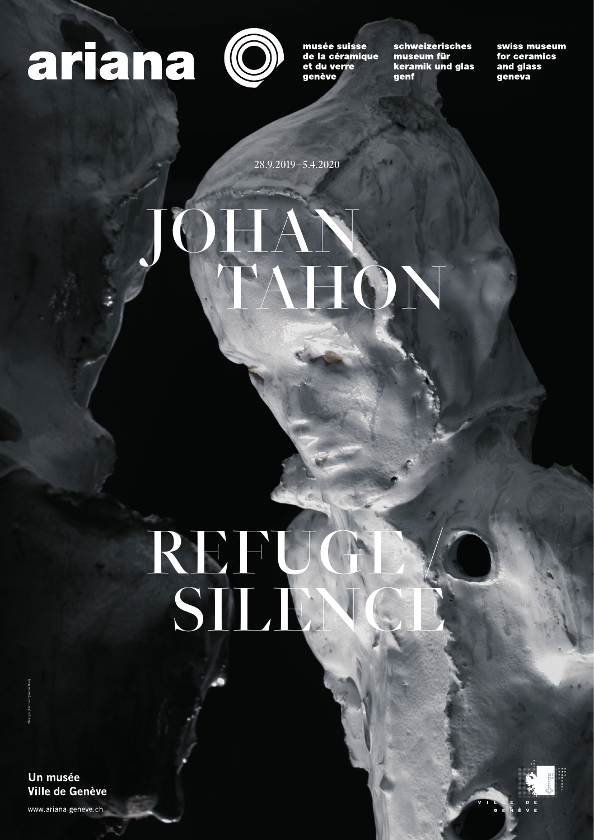## artana (O



musée suisse de la céramique et du verre genève

schweizerisches museum für keramik und glas genf

swiss museum for ceramics and glass geneva

Un musée Ville de Genève

www.ariana-geneve.ch

# REFUGE / SILENCE

28.9.2019–5.4.2020

# TAN N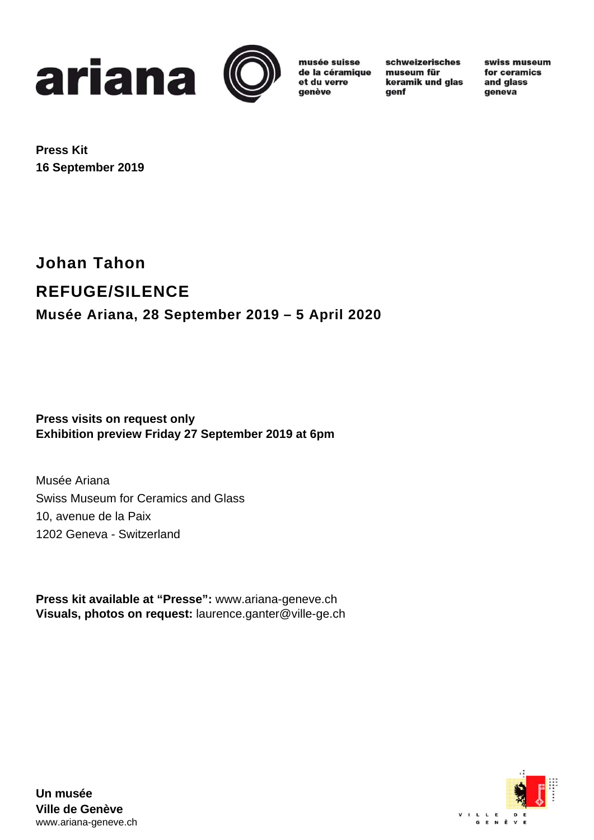



musée suisse de la céramique et du verre genève

schweizerisches museum für keramik und glas genf

swiss museum for ceramics and glass geneva

**Press Kit 16 September 2019** 

## **Johan Tahon REFUGE/SILENCE Musée Ariana, 28 September 2019 – 5 April 2020**

**Press visits on request only Exhibition preview Friday 27 September 2019 at 6pm** 

Musée Ariana Swiss Museum for Ceramics and Glass 10, avenue de la Paix 1202 Geneva - Switzerland

**Press kit available at "Presse":** www.ariana-geneve.ch **Visuals, photos on request:** laurence.ganter@ville-ge.ch



**Un musée Ville de Genève**  www.ariana-geneve.ch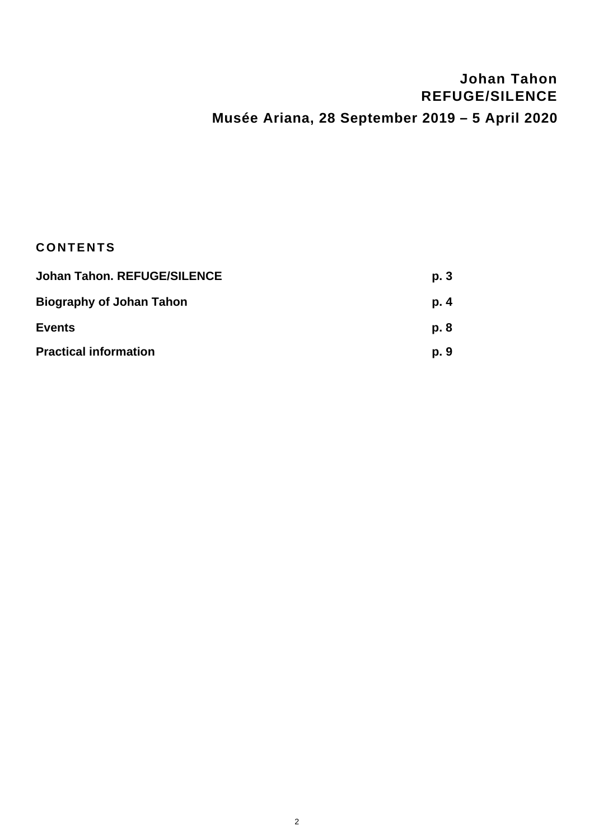### **Johan Tahon REFUGE/SILENCE Musée Ariana, 28 September 2019 – 5 April 2020**

#### **CONTENTS**

| <b>Johan Tahon. REFUGE/SILENCE</b> | p.3<br>p. 4 |
|------------------------------------|-------------|
| <b>Biography of Johan Tahon</b>    |             |
| <b>Events</b>                      | p. 8        |
| <b>Practical information</b>       | p. 9        |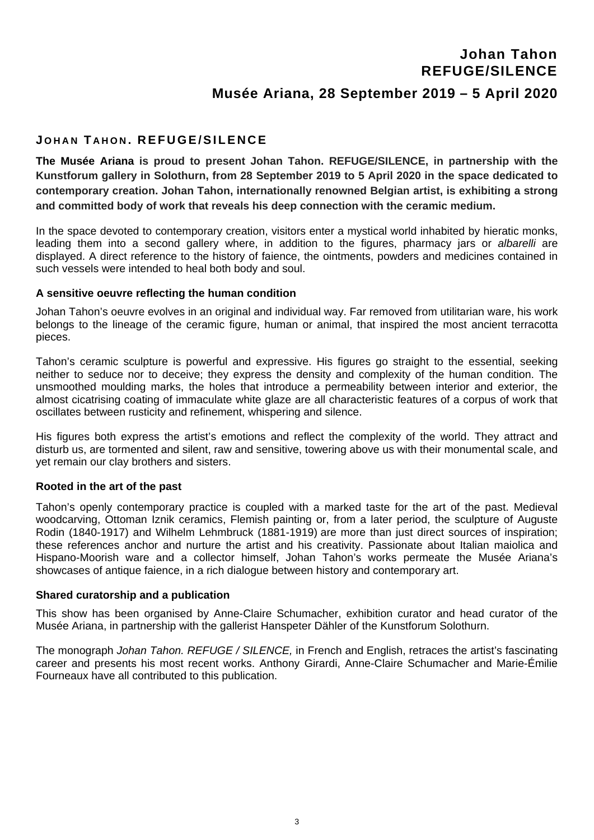#### **Johan Tahon REFUGE/SILENCE**

#### **Musée Ariana, 28 September 2019 – 5 April 2020**

#### **J OHAN T AHON . REFUGE/SILENCE**

**The Musée Ariana is proud to present Johan Tahon. REFUGE/SILENCE, in partnership with the Kunstforum gallery in Solothurn, from 28 September 2019 to 5 April 2020 in the space dedicated to contemporary creation. Johan Tahon, internationally renowned Belgian artist, is exhibiting a strong and committed body of work that reveals his deep connection with the ceramic medium.** 

In the space devoted to contemporary creation, visitors enter a mystical world inhabited by hieratic monks, leading them into a second gallery where, in addition to the figures, pharmacy jars or *albarelli* are displayed. A direct reference to the history of faience, the ointments, powders and medicines contained in such vessels were intended to heal both body and soul.

#### **A sensitive oeuvre reflecting the human condition**

Johan Tahon's oeuvre evolves in an original and individual way. Far removed from utilitarian ware, his work belongs to the lineage of the ceramic figure, human or animal, that inspired the most ancient terracotta pieces.

Tahon's ceramic sculpture is powerful and expressive. His figures go straight to the essential, seeking neither to seduce nor to deceive; they express the density and complexity of the human condition. The unsmoothed moulding marks, the holes that introduce a permeability between interior and exterior, the almost cicatrising coating of immaculate white glaze are all characteristic features of a corpus of work that oscillates between rusticity and refinement, whispering and silence.

His figures both express the artist's emotions and reflect the complexity of the world. They attract and disturb us, are tormented and silent, raw and sensitive, towering above us with their monumental scale, and yet remain our clay brothers and sisters.

#### **Rooted in the art of the past**

Tahon's openly contemporary practice is coupled with a marked taste for the art of the past. Medieval woodcarving, Ottoman Iznik ceramics, Flemish painting or, from a later period, the sculpture of Auguste Rodin (1840-1917) and Wilhelm Lehmbruck (1881-1919) are more than just direct sources of inspiration; these references anchor and nurture the artist and his creativity. Passionate about Italian maiolica and Hispano-Moorish ware and a collector himself, Johan Tahon's works permeate the Musée Ariana's showcases of antique faience, in a rich dialogue between history and contemporary art.

#### **Shared curatorship and a publication**

This show has been organised by Anne-Claire Schumacher, exhibition curator and head curator of the Musée Ariana, in partnership with the gallerist Hanspeter Dähler of the Kunstforum Solothurn.

The monograph *Johan Tahon. REFUGE / SILENCE,* in French and English, retraces the artist's fascinating career and presents his most recent works. Anthony Girardi, Anne-Claire Schumacher and Marie-Émilie Fourneaux have all contributed to this publication.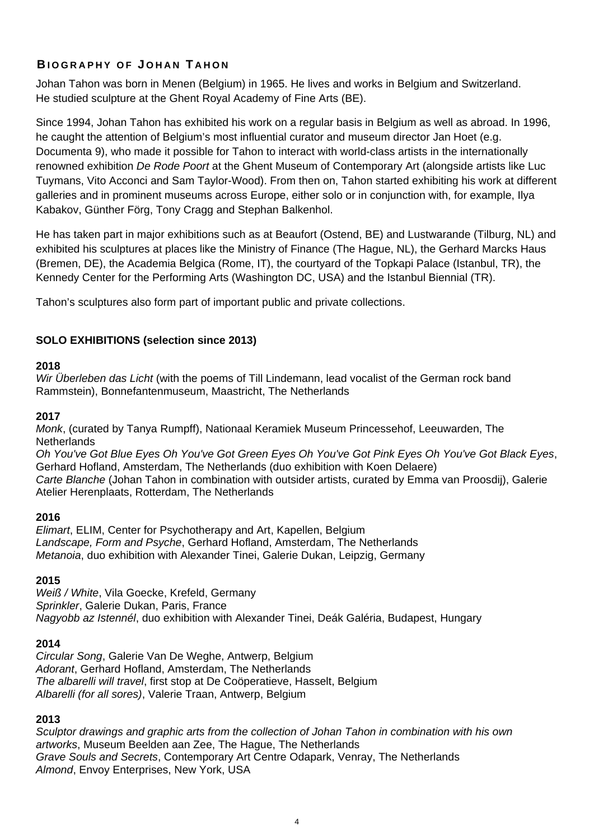#### **B IOGRAPHY OF J OHAN T AHON**

Johan Tahon was born in Menen (Belgium) in 1965. He lives and works in Belgium and Switzerland. He studied sculpture at the Ghent Royal Academy of Fine Arts (BE).

Since 1994, Johan Tahon has exhibited his work on a regular basis in Belgium as well as abroad. In 1996, he caught the attention of Belgium's most influential curator and museum director Jan Hoet (e.g. Documenta 9), who made it possible for Tahon to interact with world-class artists in the internationally renowned exhibition *De Rode Poort* at the Ghent Museum of Contemporary Art (alongside artists like Luc Tuymans, Vito Acconci and Sam Taylor-Wood). From then on, Tahon started exhibiting his work at different galleries and in prominent museums across Europe, either solo or in conjunction with, for example, Ilya Kabakov, Günther Förg, Tony Cragg and Stephan Balkenhol.

He has taken part in major exhibitions such as at Beaufort (Ostend, BE) and Lustwarande (Tilburg, NL) and exhibited his sculptures at places like the Ministry of Finance (The Hague, NL), the Gerhard Marcks Haus (Bremen, DE), the Academia Belgica (Rome, IT), the courtyard of the Topkapi Palace (Istanbul, TR), the Kennedy Center for the Performing Arts (Washington DC, USA) and the Istanbul Biennial (TR).

Tahon's sculptures also form part of important public and private collections.

#### **SOLO EXHIBITIONS (selection since 2013)**

#### **2018**

*Wir Überleben das Licht* (with the poems of Till Lindemann, lead vocalist of the German rock band Rammstein), Bonnefantenmuseum, Maastricht, The Netherlands

#### **2017**

*Monk*, (curated by Tanya Rumpff), Nationaal Keramiek Museum Princessehof, Leeuwarden, The **Netherlands** 

*Oh You've Got Blue Eyes Oh You've Got Green Eyes Oh You've Got Pink Eyes Oh You've Got Black Eyes*, Gerhard Hofland, Amsterdam, The Netherlands (duo exhibition with Koen Delaere) *Carte Blanche* (Johan Tahon in combination with outsider artists, curated by Emma van Proosdij), Galerie Atelier Herenplaats, Rotterdam, The Netherlands

#### **2016**

*Elimart*, ELIM, Center for Psychotherapy and Art, Kapellen, Belgium *Landscape, Form and Psyche*, Gerhard Hofland, Amsterdam, The Netherlands *Metanoia*, duo exhibition with Alexander Tinei, Galerie Dukan, Leipzig, Germany

#### **2015**

*Weiß / White*, Vila Goecke, Krefeld, Germany *Sprinkler*, Galerie Dukan, Paris, France *Nagyobb az Istennél*, duo exhibition with Alexander Tinei, Deák Galéria, Budapest, Hungary

#### **2014**

*Circular Song*, Galerie Van De Weghe, Antwerp, Belgium *Adorant*, Gerhard Hofland, Amsterdam, The Netherlands *The albarelli will travel*, first stop at De Coöperatieve, Hasselt, Belgium *Albarelli (for all sores)*, Valerie Traan, Antwerp, Belgium

#### **2013**

*Sculptor drawings and graphic arts from the collection of Johan Tahon in combination with his own artworks*, Museum Beelden aan Zee, The Hague, The Netherlands *Grave Souls and Secrets*, Contemporary Art Centre Odapark, Venray, The Netherlands *Almond*, Envoy Enterprises, New York, USA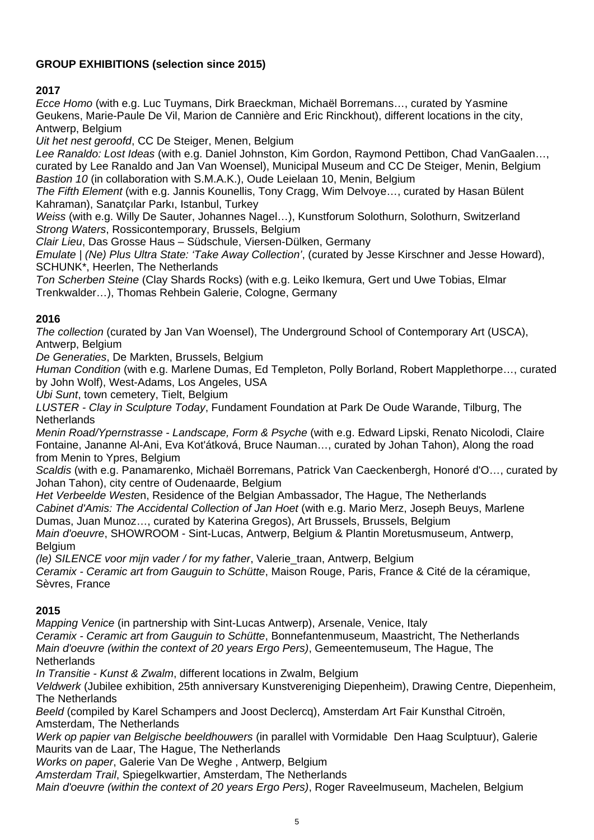#### **GROUP EXHIBITIONS (selection since 2015)**

#### **2017**

*Ecce Homo* (with e.g. Luc Tuymans, Dirk Braeckman, Michaël Borremans…, curated by Yasmine Geukens, Marie-Paule De Vil, Marion de Cannière and Eric Rinckhout), different locations in the city, Antwerp, Belgium

*Uit het nest geroofd*, CC De Steiger, Menen, Belgium

*Lee Ranaldo: Lost Ideas* (with e.g. Daniel Johnston, Kim Gordon, Raymond Pettibon, Chad VanGaalen…, curated by Lee Ranaldo and Jan Van Woensel), Municipal Museum and CC De Steiger, Menin, Belgium *Bastion 10* (in collaboration with S.M.A.K.), Oude Leielaan 10, Menin, Belgium

*The Fifth Element* (with e.g. Jannis Kounellis, Tony Cragg, Wim Delvoye…, curated by Hasan Bülent Kahraman), Sanatçılar Parkı, Istanbul, Turkey

*Weiss* (with e.g. Willy De Sauter, Johannes Nagel…), Kunstforum Solothurn, Solothurn, Switzerland *Strong Waters*, Rossicontemporary, Brussels, Belgium

*Clair Lieu*, Das Grosse Haus – Südschule, Viersen-Dülken, Germany

*Emulate | (Ne) Plus Ultra State: 'Take Away Collection'*, (curated by Jesse Kirschner and Jesse Howard), SCHUNK\*, Heerlen, The Netherlands

*Ton Scherben Steine* (Clay Shards Rocks) (with e.g. Leiko Ikemura, Gert und Uwe Tobias, Elmar Trenkwalder…), Thomas Rehbein Galerie, Cologne, Germany

#### **2016**

*The collection* (curated by Jan Van Woensel), The Underground School of Contemporary Art (USCA), Antwerp, Belgium

*De Generaties*, De Markten, Brussels, Belgium

*Human Condition* (with e.g. Marlene Dumas, Ed Templeton, Polly Borland, Robert Mapplethorpe…, curated by John Wolf), West-Adams, Los Angeles, USA

*Ubi Sunt*, town cemetery, Tielt, Belgium

*LUSTER - Clay in Sculpture Today*, Fundament Foundation at Park De Oude Warande, Tilburg, The **Netherlands** 

*Menin Road/Ypernstrasse - Landscape, Form & Psyche* (with e.g. Edward Lipski, Renato Nicolodi, Claire Fontaine, Jananne Al-Ani, Eva Kot'átková, Bruce Nauman…, curated by Johan Tahon), Along the road from Menin to Ypres, Belgium

*Scaldis* (with e.g. Panamarenko, Michaël Borremans, Patrick Van Caeckenbergh, Honoré d'O…, curated by Johan Tahon), city centre of Oudenaarde, Belgium

*Het Verbeelde Weste*n, Residence of the Belgian Ambassador, The Hague, The Netherlands *Cabinet d'Amis: The Accidental Collection of Jan Hoet* (with e.g. Mario Merz, Joseph Beuys, Marlene Dumas, Juan Munoz…, curated by Katerina Gregos), Art Brussels, Brussels, Belgium *Main d'oeuvre*, SHOWROOM - Sint-Lucas, Antwerp, Belgium & Plantin Moretusmuseum, Antwerp, **Belgium** 

*(le) SILENCE voor mijn vader / for my father*, Valerie\_traan, Antwerp, Belgium *Ceramix - Ceramic art from Gauguin to Schütte*, Maison Rouge, Paris, France & Cité de la céramique, Sèvres, France

#### **2015**

*Mapping Venice* (in partnership with Sint-Lucas Antwerp), Arsenale, Venice, Italy *Ceramix - Ceramic art from Gauguin to Schütte*, Bonnefantenmuseum, Maastricht, The Netherlands *Main d'oeuvre (within the context of 20 years Ergo Pers)*, Gemeentemuseum, The Hague, The **Netherlands** 

*In Transitie - Kunst & Zwalm*, different locations in Zwalm, Belgium

*Veldwerk* (Jubilee exhibition, 25th anniversary Kunstvereniging Diepenheim), Drawing Centre, Diepenheim, The Netherlands

*Beeld* (compiled by Karel Schampers and Joost Declercq), Amsterdam Art Fair Kunsthal Citroën, Amsterdam, The Netherlands

*Werk op papier van Belgische beeldhouwers* (in parallel with Vormidable Den Haag Sculptuur), Galerie Maurits van de Laar, The Hague, The Netherlands

*Works on paper*, Galerie Van De Weghe , Antwerp, Belgium

*Amsterdam Trail*, Spiegelkwartier, Amsterdam, The Netherlands

*Main d'oeuvre (within the context of 20 years Ergo Pers)*, Roger Raveelmuseum, Machelen, Belgium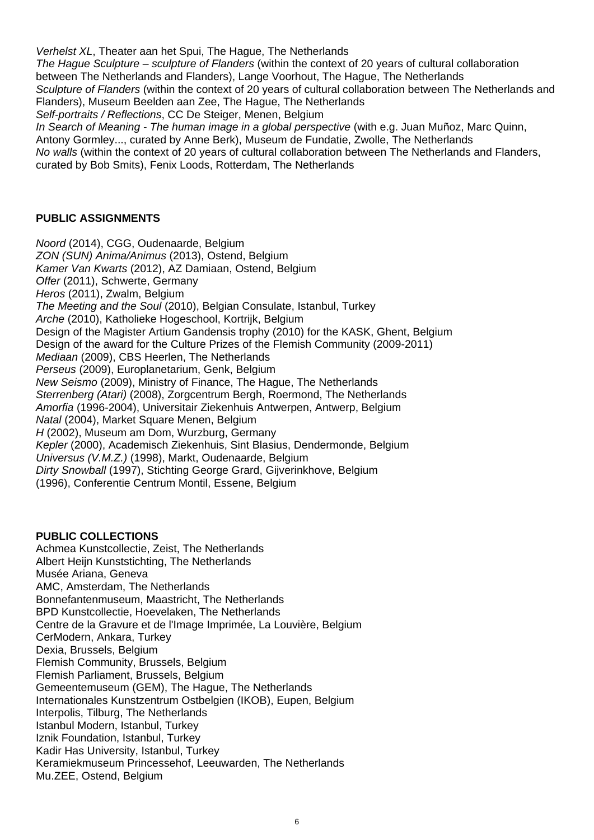*Verhelst XL*, Theater aan het Spui, The Hague, The Netherlands *The Hague Sculpture – sculpture of Flanders* (within the context of 20 years of cultural collaboration between The Netherlands and Flanders), Lange Voorhout, The Hague, The Netherlands *Sculpture of Flanders* (within the context of 20 years of cultural collaboration between The Netherlands and Flanders), Museum Beelden aan Zee, The Hague, The Netherlands *Self-portraits / Reflections*, CC De Steiger, Menen, Belgium *In Search of Meaning - The human image in a global perspective (with e.g. Juan Muñoz, Marc Quinn,* Antony Gormley..., curated by Anne Berk), Museum de Fundatie, Zwolle, The Netherlands *No walls* (within the context of 20 years of cultural collaboration between The Netherlands and Flanders, curated by Bob Smits), Fenix Loods, Rotterdam, The Netherlands

#### **PUBLIC ASSIGNMENTS**

*Noord* (2014), CGG, Oudenaarde, Belgium *ZON (SUN) Anima/Animus* (2013), Ostend, Belgium *Kamer Van Kwarts* (2012), AZ Damiaan, Ostend, Belgium *Offer* (2011), Schwerte, Germany *Heros* (2011), Zwalm, Belgium *The Meeting and the Soul* (2010), Belgian Consulate, Istanbul, Turkey *Arche* (2010), Katholieke Hogeschool, Kortrijk, Belgium Design of the Magister Artium Gandensis trophy (2010) for the KASK, Ghent, Belgium Design of the award for the Culture Prizes of the Flemish Community (2009-2011) *Mediaan* (2009), CBS Heerlen, The Netherlands *Perseus* (2009), Europlanetarium, Genk, Belgium *New Seismo* (2009), Ministry of Finance, The Hague, The Netherlands *Sterrenberg (Atari)* (2008), Zorgcentrum Bergh, Roermond, The Netherlands *Amorfia* (1996-2004), Universitair Ziekenhuis Antwerpen, Antwerp, Belgium *Natal* (2004), Market Square Menen, Belgium *H* (2002), Museum am Dom, Wurzburg, Germany *Kepler* (2000), Academisch Ziekenhuis, Sint Blasius, Dendermonde, Belgium *Universus (V.M.Z.)* (1998), Markt, Oudenaarde, Belgium *Dirty Snowball* (1997), Stichting George Grard, Gijverinkhove, Belgium (1996), Conferentie Centrum Montil, Essene, Belgium

#### **PUBLIC COLLECTIONS**

Achmea Kunstcollectie, Zeist, The Netherlands Albert Heijn Kunststichting, The Netherlands Musée Ariana, Geneva AMC, Amsterdam, The Netherlands Bonnefantenmuseum, Maastricht, The Netherlands BPD Kunstcollectie, Hoevelaken, The Netherlands Centre de la Gravure et de l'Image Imprimée, La Louvière, Belgium CerModern, Ankara, Turkey Dexia, Brussels, Belgium Flemish Community, Brussels, Belgium Flemish Parliament, Brussels, Belgium Gemeentemuseum (GEM), The Hague, The Netherlands Internationales Kunstzentrum Ostbelgien (IKOB), Eupen, Belgium Interpolis, Tilburg, The Netherlands Istanbul Modern, Istanbul, Turkey Iznik Foundation, Istanbul, Turkey Kadir Has University, Istanbul, Turkey Keramiekmuseum Princessehof, Leeuwarden, The Netherlands Mu.ZEE, Ostend, Belgium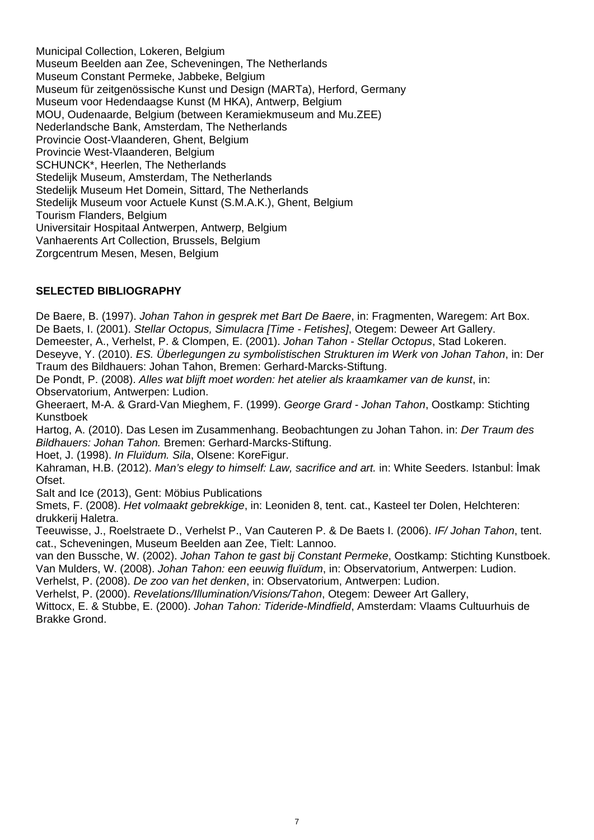Municipal Collection, Lokeren, Belgium Museum Beelden aan Zee, Scheveningen, The Netherlands Museum Constant Permeke, Jabbeke, Belgium Museum für zeitgenössische Kunst und Design (MARTa), Herford, Germany Museum voor Hedendaagse Kunst (M HKA), Antwerp, Belgium MOU, Oudenaarde, Belgium (between Keramiekmuseum and Mu.ZEE) Nederlandsche Bank, Amsterdam, The Netherlands Provincie Oost-Vlaanderen, Ghent, Belgium Provincie West-Vlaanderen, Belgium SCHUNCK\*, Heerlen, The Netherlands Stedelijk Museum, Amsterdam, The Netherlands Stedelijk Museum Het Domein, Sittard, The Netherlands Stedelijk Museum voor Actuele Kunst (S.M.A.K.), Ghent, Belgium Tourism Flanders, Belgium Universitair Hospitaal Antwerpen, Antwerp, Belgium Vanhaerents Art Collection, Brussels, Belgium Zorgcentrum Mesen, Mesen, Belgium

#### **SELECTED BIBLIOGRAPHY**

De Baere, B. (1997). *Johan Tahon in gesprek met Bart De Baere*, in: Fragmenten, Waregem: Art Box. De Baets, I. (2001). *Stellar Octopus, Simulacra [Time - Fetishes]*, Otegem: Deweer Art Gallery. Demeester, A., Verhelst, P. & Clompen, E. (2001). *Johan Tahon - Stellar Octopus*, Stad Lokeren. Deseyve, Y. (2010). *ES. Überlegungen zu symbolistischen Strukturen im Werk von Johan Tahon*, in: Der Traum des Bildhauers: Johan Tahon, Bremen: Gerhard-Marcks-Stiftung.

De Pondt, P. (2008). *Alles wat blijft moet worden: het atelier als kraamkamer van de kunst*, in: Observatorium, Antwerpen: Ludion.

Gheeraert, M-A. & Grard-Van Mieghem, F. (1999). *George Grard - Johan Tahon*, Oostkamp: Stichting Kunstboek

Hartog, A. (2010). Das Lesen im Zusammenhang. Beobachtungen zu Johan Tahon. in: *Der Traum des Bildhauers: Johan Tahon.* Bremen: Gerhard-Marcks-Stiftung.

Hoet, J. (1998). *In Fluïdum. Sila*, Olsene: KoreFigur.

Kahraman, H.B. (2012). *Man's elegy to himself: Law, sacrifice and art.* in: White Seeders. Istanbul: İmak Ofset.

Salt and Ice (2013), Gent: Möbius Publications

Smets, F. (2008). *Het volmaakt gebrekkige*, in: Leoniden 8, tent. cat., Kasteel ter Dolen, Helchteren: drukkerij Haletra.

Teeuwisse, J., Roelstraete D., Verhelst P., Van Cauteren P. & De Baets I. (2006). *IF/ Johan Tahon*, tent. cat., Scheveningen, Museum Beelden aan Zee, Tielt: Lannoo.

van den Bussche, W. (2002). *Johan Tahon te gast bij Constant Permeke*, Oostkamp: Stichting Kunstboek. Van Mulders, W. (2008). *Johan Tahon: een eeuwig fluïdum*, in: Observatorium, Antwerpen: Ludion.

Verhelst, P. (2008). *De zoo van het denken*, in: Observatorium, Antwerpen: Ludion.

Verhelst, P. (2000). *Revelations/Illumination/Visions/Tahon*, Otegem: Deweer Art Gallery, Wittocx, E. & Stubbe, E. (2000). *Johan Tahon: Tideride-Mindfield*, Amsterdam: Vlaams Cultuurhuis de Brakke Grond.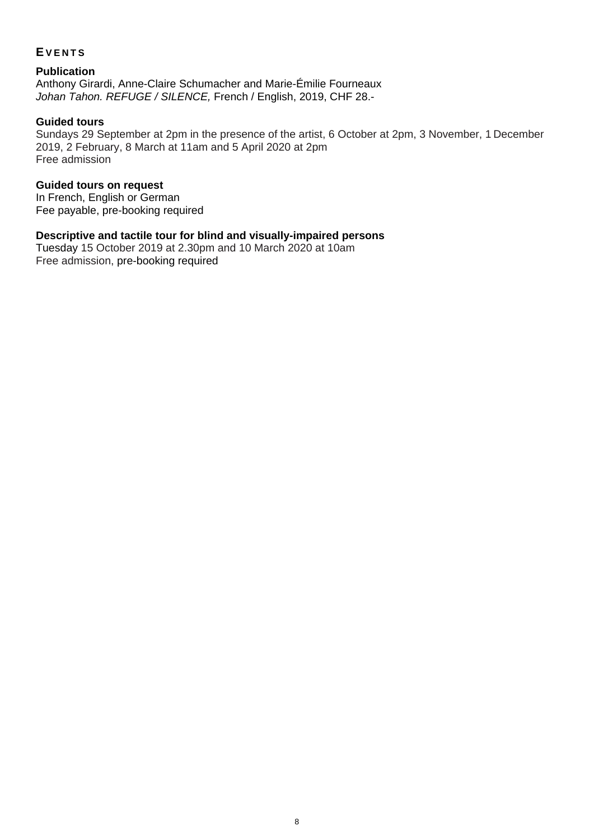#### **EVENTS**

**Publication**  Anthony Girardi, Anne-Claire Schumacher and Marie-Émilie Fourneaux *Johan Tahon. REFUGE / SILENCE,* French / English, 2019, CHF 28.-

#### **Guided tours**

Sundays 29 September at 2pm in the presence of the artist, 6 October at 2pm, 3 November, 1 December 2019, 2 February, 8 March at 11am and 5 April 2020 at 2pm Free admission

#### **Guided tours on request**

In French, English or German Fee payable, pre-booking required

#### **Descriptive and tactile tour for blind and visually-impaired persons**

Tuesday 15 October 2019 at 2.30pm and 10 March 2020 at 10am Free admission, pre-booking required